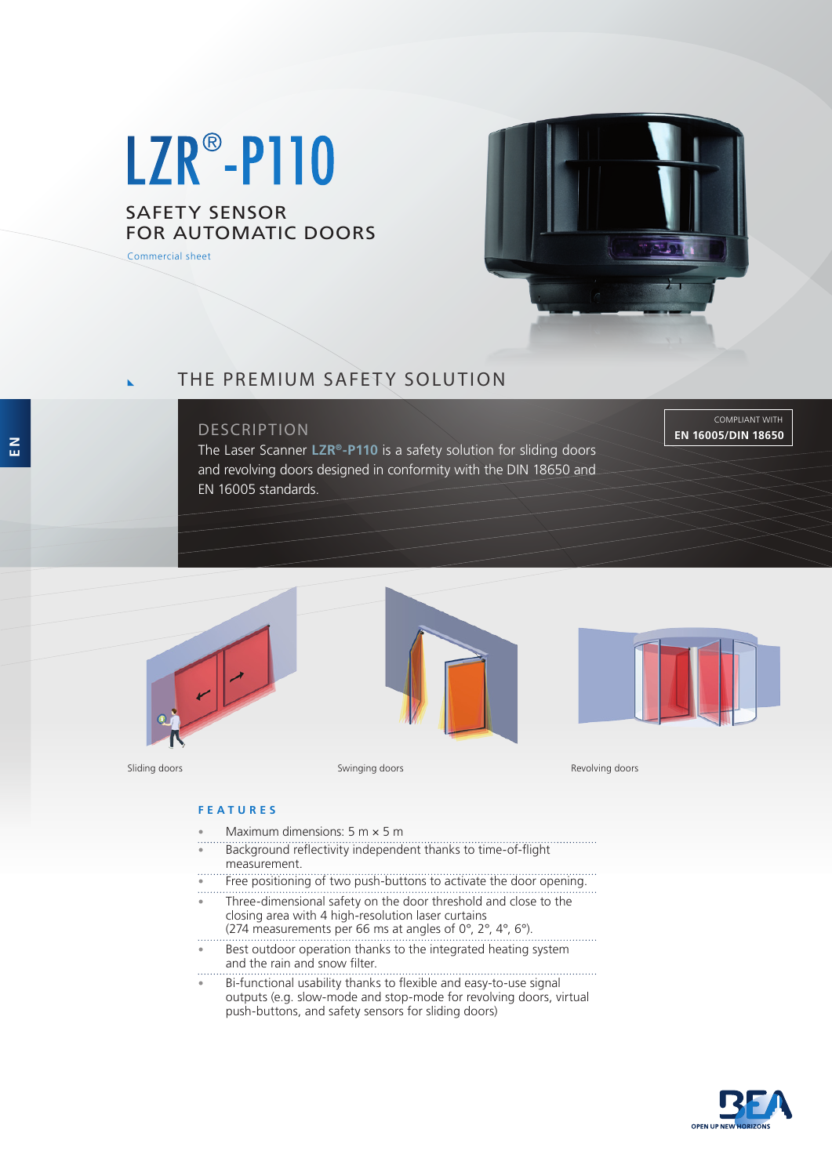# LZR<sup>®</sup>-P110

## SAFETY SENSOR FOR AUTOMATIC DOORS

Commercial sheet



# THE PREMIUM SAFETY SOLUTION

## DESCRIPTION

The Laser Scanner **LZR®-P110** is a safety solution for sliding doors and revolving doors designed in conformity with the DIN 18650 and EN 16005 standards.

COMPLIANT WITH **EN 16005/DIN 18650**







Sliding doors **Swinging doors** Swinging doors **Swinging doors** Revolving doors Revolving doors

#### **FEATURES**

- Maximum dimensions:  $5 \text{ m} \times 5 \text{ m}$
- Background reflectivity independent thanks to time-of-flight measurement.
- Free positioning of two push-buttons to activate the door opening.
- Three-dimensional safety on the door threshold and close to the closing area with 4 high-resolution laser curtains
- (274 measurements per 66 ms at angles of 0°, 2°, 4°, 6°).
- Best outdoor operation thanks to the integrated heating system and the rain and snow filter.
- Bi-functional usability thanks to flexible and easy-to-use signal outputs (e.g. slow-mode and stop-mode for revolving doors, virtual push-buttons, and safety sensors for sliding doors)